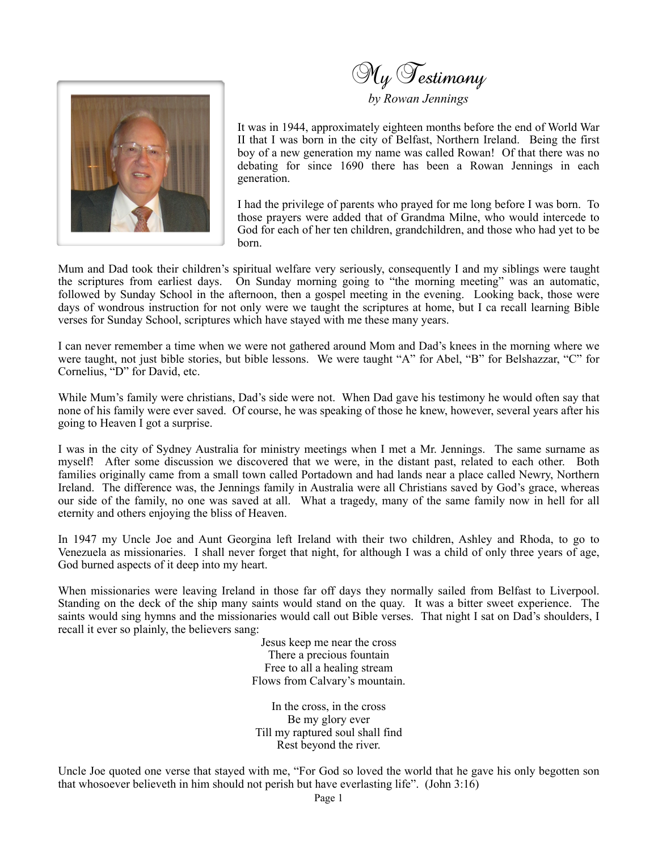

My Testimony

*by Rowan Jennings*

It was in 1944, approximately eighteen months before the end of World War II that I was born in the city of Belfast, Northern Ireland. Being the first boy of a new generation my name was called Rowan! Of that there was no debating for since 1690 there has been a Rowan Jennings in each generation.

I had the privilege of parents who prayed for me long before I was born. To those prayers were added that of Grandma Milne, who would intercede to God for each of her ten children, grandchildren, and those who had yet to be born.

Mum and Dad took their children's spiritual welfare very seriously, consequently I and my siblings were taught the scriptures from earliest days. On Sunday morning going to "the morning meeting" was an automatic, followed by Sunday School in the afternoon, then a gospel meeting in the evening. Looking back, those were days of wondrous instruction for not only were we taught the scriptures at home, but I ca recall learning Bible verses for Sunday School, scriptures which have stayed with me these many years.

I can never remember a time when we were not gathered around Mom and Dad's knees in the morning where we were taught, not just bible stories, but bible lessons. We were taught "A" for Abel, "B" for Belshazzar, "C" for Cornelius, "D" for David, etc.

While Mum's family were christians, Dad's side were not. When Dad gave his testimony he would often say that none of his family were ever saved. Of course, he was speaking of those he knew, however, several years after his going to Heaven I got a surprise.

I was in the city of Sydney Australia for ministry meetings when I met a Mr. Jennings. The same surname as myself! After some discussion we discovered that we were, in the distant past, related to each other. Both families originally came from a small town called Portadown and had lands near a place called Newry, Northern Ireland. The difference was, the Jennings family in Australia were all Christians saved by God's grace, whereas our side of the family, no one was saved at all. What a tragedy, many of the same family now in hell for all eternity and others enjoying the bliss of Heaven.

In 1947 my Uncle Joe and Aunt Georgina left Ireland with their two children, Ashley and Rhoda, to go to Venezuela as missionaries. I shall never forget that night, for although I was a child of only three years of age, God burned aspects of it deep into my heart.

When missionaries were leaving Ireland in those far off days they normally sailed from Belfast to Liverpool. Standing on the deck of the ship many saints would stand on the quay. It was a bitter sweet experience. The saints would sing hymns and the missionaries would call out Bible verses. That night I sat on Dad's shoulders, I recall it ever so plainly, the believers sang:

> Jesus keep me near the cross There a precious fountain Free to all a healing stream Flows from Calvary's mountain.

In the cross, in the cross Be my glory ever Till my raptured soul shall find Rest beyond the river.

Uncle Joe quoted one verse that stayed with me, "For God so loved the world that he gave his only begotten son that whosoever believeth in him should not perish but have everlasting life". (John 3:16)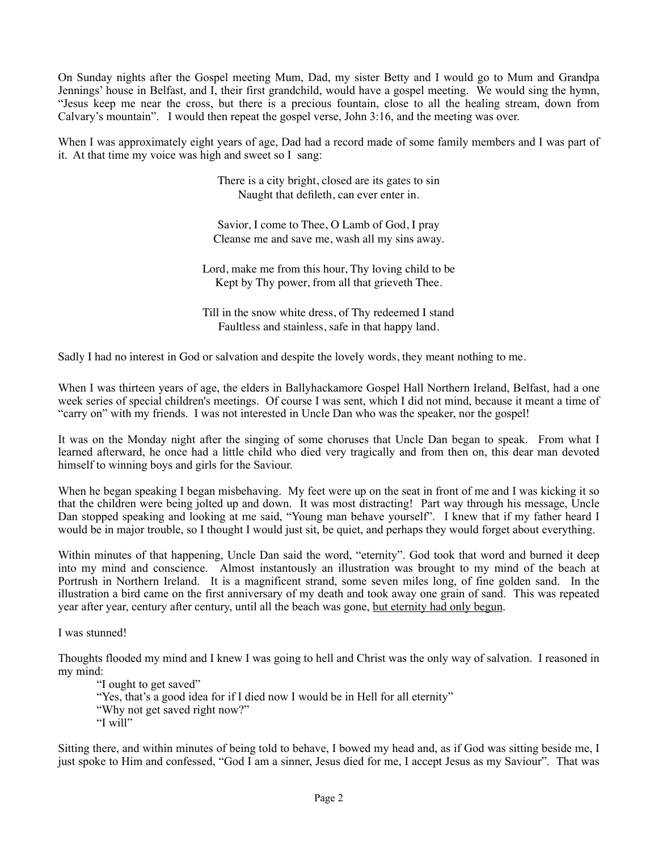On Sunday nights after the Gospel meeting Mum, Dad, my sister Betty and I would go to Mum and Grandpa Jennings' house in Belfast, and I, their first grandchild, would have a gospel meeting. We would sing the hymn, "Jesus keep me near the cross, but there is a precious fountain, close to all the healing stream, down from Calvary's mountain". I would then repeat the gospel verse, John 3:16, and the meeting was over.

When I was approximately eight years of age, Dad had a record made of some family members and I was part of it. At that time my voice was high and sweet so I sang:

> There is a city bright, closed are its gates to sin Naught that defileth, can ever enter in.

Savior, I come to Thee, O Lamb of God, I pray Cleanse me and save me, wash all my sins away.

Lord, make me from this hour, Thy loving child to be Kept by Thy power, from all that grieveth Thee.

Till in the snow white dress, of Thy redeemed I stand Faultless and stainless, safe in that happy land.

Sadly I had no interest in God or salvation and despite the lovely words, they meant nothing to me.

When I was thirteen years of age, the elders in Ballyhackamore Gospel Hall Northern Ireland, Belfast, had a one week series of special children's meetings. Of course I was sent, which I did not mind, because it meant a time of "carry on" with my friends. I was not interested in Uncle Dan who was the speaker, nor the gospel!

It was on the Monday night after the singing of some choruses that Uncle Dan began to speak. From what I learned afterward, he once had a little child who died very tragically and from then on, this dear man devoted himself to winning boys and girls for the Saviour.

When he began speaking I began misbehaving. My feet were up on the seat in front of me and I was kicking it so that the children were being jolted up and down. It was most distracting! Part way through his message, Uncle Dan stopped speaking and looking at me said, "Young man behave yourself". I knew that if my father heard I would be in major trouble, so I thought I would just sit, be quiet, and perhaps they would forget about everything.

Within minutes of that happening, Uncle Dan said the word, "eternity". God took that word and burned it deep into my mind and conscience. Almost instantously an illustration was brought to my mind of the beach at Portrush in Northern Ireland. It is a magnificent strand, some seven miles long, of fine golden sand. In the illustration a bird came on the first anniversary of my death and took away one grain of sand. This was repeated year after year, century after century, until all the beach was gone, but eternity had only begun.

I was stunned!

Thoughts flooded my mind and I knew I was going to hell and Christ was the only way of salvation. I reasoned in my mind:

"I ought to get saved" "Yes, that's a good idea for if I died now I would be in Hell for all eternity" "Why not get saved right now?" "I will"

Sitting there, and within minutes of being told to behave, I bowed my head and, as if God was sitting beside me, I just spoke to Him and confessed, "God I am a sinner, Jesus died for me, I accept Jesus as my Saviour". That was